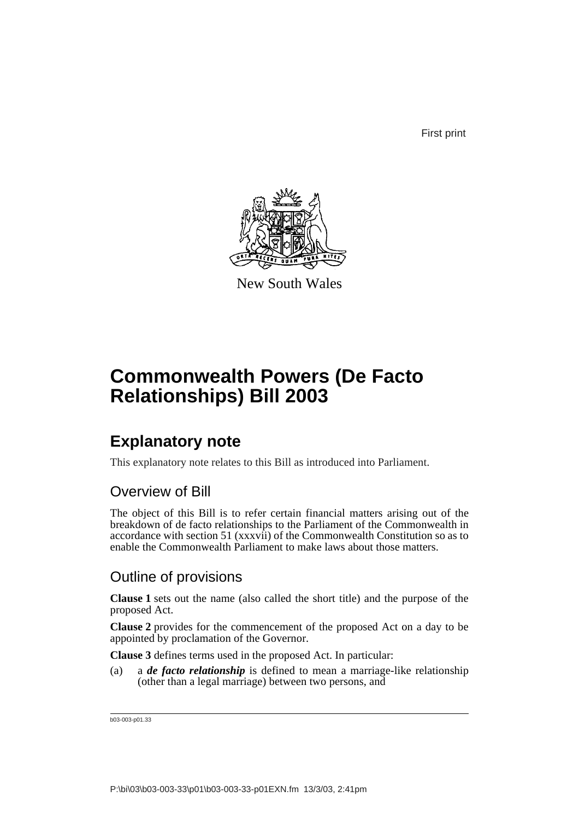First print



New South Wales

# **Commonwealth Powers (De Facto Relationships) Bill 2003**

### **Explanatory note**

This explanatory note relates to this Bill as introduced into Parliament.

#### Overview of Bill

The object of this Bill is to refer certain financial matters arising out of the breakdown of de facto relationships to the Parliament of the Commonwealth in accordance with section 51 (xxxvii) of the Commonwealth Constitution so as to enable the Commonwealth Parliament to make laws about those matters.

#### Outline of provisions

**Clause 1** sets out the name (also called the short title) and the purpose of the proposed Act.

**Clause 2** provides for the commencement of the proposed Act on a day to be appointed by proclamation of the Governor.

**Clause 3** defines terms used in the proposed Act. In particular:

(a) a *de facto relationship* is defined to mean a marriage-like relationship (other than a legal marriage) between two persons, and

b03-003-p01.33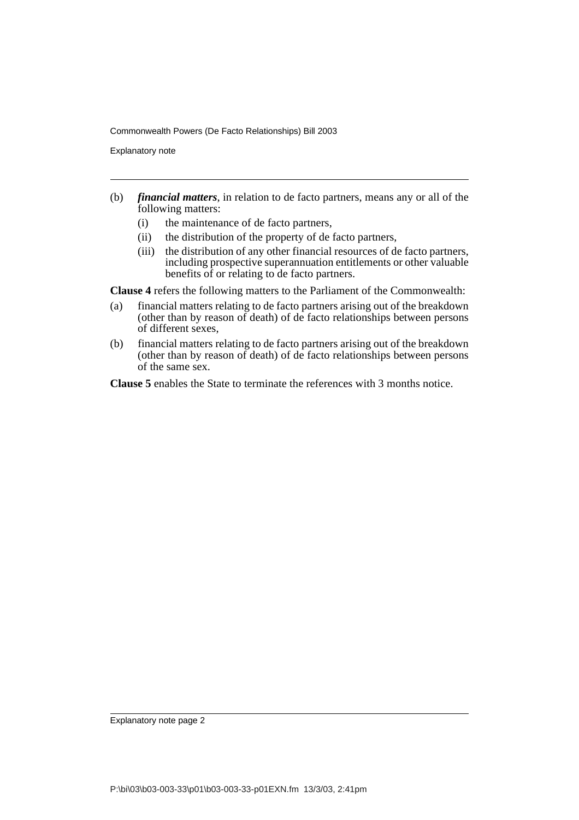Commonwealth Powers (De Facto Relationships) Bill 2003

Explanatory note

- (b) *financial matters*, in relation to de facto partners, means any or all of the following matters:
	- (i) the maintenance of de facto partners,
	- (ii) the distribution of the property of de facto partners,
	- (iii) the distribution of any other financial resources of de facto partners, including prospective superannuation entitlements or other valuable benefits of or relating to de facto partners.

**Clause 4** refers the following matters to the Parliament of the Commonwealth:

- (a) financial matters relating to de facto partners arising out of the breakdown (other than by reason of death) of de facto relationships between persons of different sexes,
- (b) financial matters relating to de facto partners arising out of the breakdown (other than by reason of death) of de facto relationships between persons of the same sex.

**Clause 5** enables the State to terminate the references with 3 months notice.

Explanatory note page 2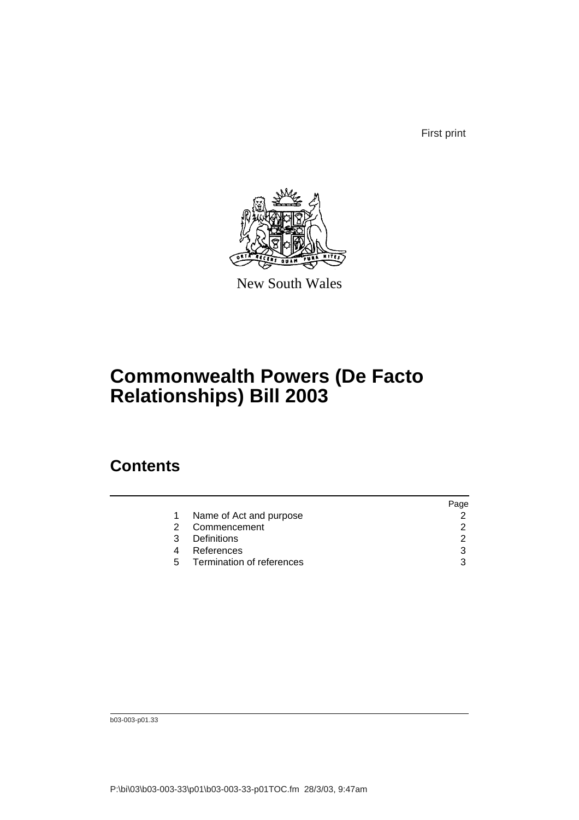First print



New South Wales

## **Commonwealth Powers (De Facto Relationships) Bill 2003**

#### **Contents**

|   |                             | aqe |
|---|-----------------------------|-----|
|   | Name of Act and purpose     |     |
|   | Commencement                |     |
| 3 | <b>Definitions</b>          |     |
|   | References                  | ર   |
|   | 5 Termination of references | ર   |
|   |                             |     |

b03-003-p01.33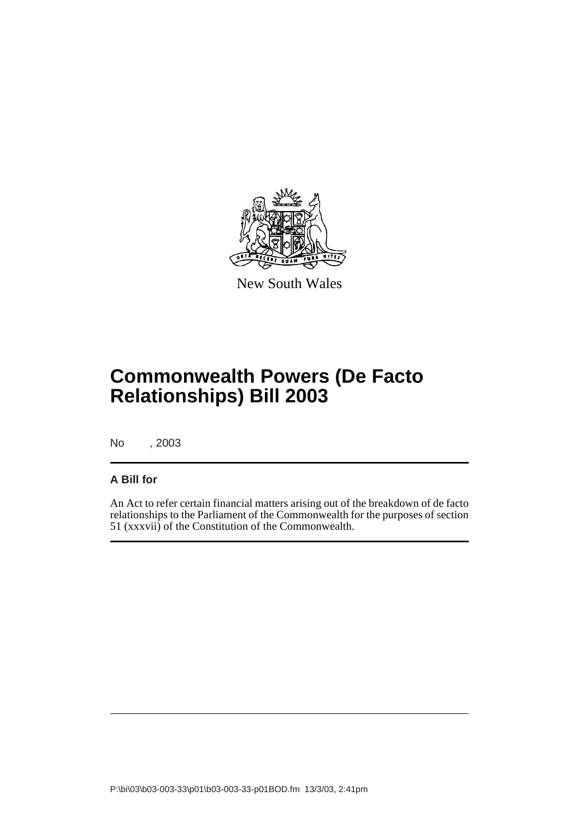

New South Wales

# **Commonwealth Powers (De Facto Relationships) Bill 2003**

No , 2003

#### **A Bill for**

An Act to refer certain financial matters arising out of the breakdown of de facto relationships to the Parliament of the Commonwealth for the purposes of section 51 (xxxvii) of the Constitution of the Commonwealth.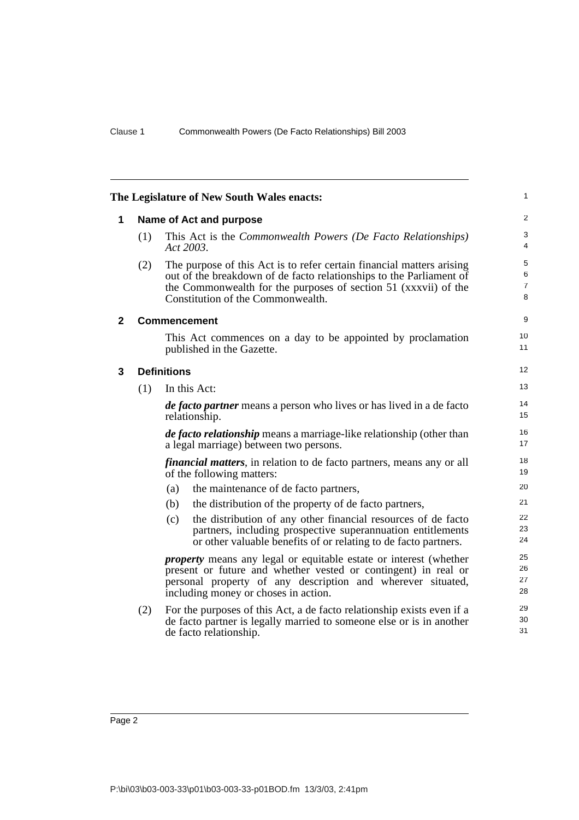<span id="page-4-2"></span><span id="page-4-1"></span><span id="page-4-0"></span>

|              |     | The Legislature of New South Wales enacts:                                                                                                                                                                                                           | $\mathbf{1}$                  |
|--------------|-----|------------------------------------------------------------------------------------------------------------------------------------------------------------------------------------------------------------------------------------------------------|-------------------------------|
| 1            |     | Name of Act and purpose                                                                                                                                                                                                                              | 2                             |
|              | (1) | This Act is the <i>Commonwealth Powers</i> (De Facto Relationships)<br>Act 2003.                                                                                                                                                                     | 3<br>4                        |
|              | (2) | The purpose of this Act is to refer certain financial matters arising<br>out of the breakdown of de facto relationships to the Parliament of<br>the Commonwealth for the purposes of section 51 (xxxvii) of the<br>Constitution of the Commonwealth. | 5<br>6<br>$\overline{7}$<br>8 |
| $\mathbf{2}$ |     | <b>Commencement</b>                                                                                                                                                                                                                                  | 9                             |
|              |     | This Act commences on a day to be appointed by proclamation<br>published in the Gazette.                                                                                                                                                             | 10<br>11                      |
| 3            |     | <b>Definitions</b>                                                                                                                                                                                                                                   | 12                            |
|              | (1) | In this Act:                                                                                                                                                                                                                                         | 13                            |
|              |     | <i>de facto partner</i> means a person who lives or has lived in a de facto<br>relationship.                                                                                                                                                         | 14<br>15                      |
|              |     | <i>de facto relationship</i> means a marriage-like relationship (other than<br>a legal marriage) between two persons.                                                                                                                                | 16<br>17                      |
|              |     | <i>financial matters</i> , in relation to de facto partners, means any or all<br>of the following matters:                                                                                                                                           | 18<br>19                      |
|              |     | (a)<br>the maintenance of de facto partners,                                                                                                                                                                                                         | 20                            |
|              |     | the distribution of the property of de facto partners,<br>(b)                                                                                                                                                                                        | 21                            |
|              |     | the distribution of any other financial resources of de facto<br>(c)<br>partners, including prospective superannuation entitlements<br>or other valuable benefits of or relating to de facto partners.                                               | 22<br>23<br>24                |
|              |     | <i>property</i> means any legal or equitable estate or interest (whether<br>present or future and whether vested or contingent) in real or<br>personal property of any description and wherever situated,<br>including money or choses in action.    | 25<br>26<br>27<br>28          |
|              | (2) | For the purposes of this Act, a de facto relationship exists even if a<br>de facto partner is legally married to some one else or is in another<br>de facto relationship.                                                                            | 29<br>30<br>31                |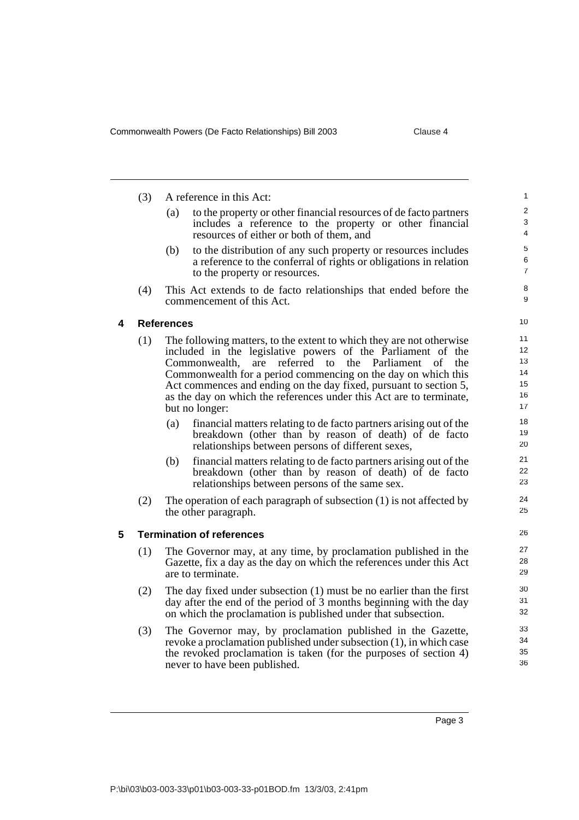<span id="page-5-1"></span><span id="page-5-0"></span>

|   | (3)        | A reference in this Act:                                                                                                                                                                                                                                                                                                                                                                                                                                                                                                                                                                                                                                                                                                                                                                                                                                                                              |                                                                                  |
|---|------------|-------------------------------------------------------------------------------------------------------------------------------------------------------------------------------------------------------------------------------------------------------------------------------------------------------------------------------------------------------------------------------------------------------------------------------------------------------------------------------------------------------------------------------------------------------------------------------------------------------------------------------------------------------------------------------------------------------------------------------------------------------------------------------------------------------------------------------------------------------------------------------------------------------|----------------------------------------------------------------------------------|
|   |            | to the property or other financial resources of de facto partners<br>(a)<br>includes a reference to the property or other financial<br>resources of either or both of them, and                                                                                                                                                                                                                                                                                                                                                                                                                                                                                                                                                                                                                                                                                                                       | $\overline{2}$<br>3<br>4                                                         |
|   |            | (b)<br>to the distribution of any such property or resources includes<br>a reference to the conferral of rights or obligations in relation<br>to the property or resources.                                                                                                                                                                                                                                                                                                                                                                                                                                                                                                                                                                                                                                                                                                                           | 5<br>6<br>$\overline{7}$                                                         |
|   | (4)        | This Act extends to de facto relationships that ended before the<br>commencement of this Act.                                                                                                                                                                                                                                                                                                                                                                                                                                                                                                                                                                                                                                                                                                                                                                                                         | 8<br>9                                                                           |
| 4 |            | <b>References</b>                                                                                                                                                                                                                                                                                                                                                                                                                                                                                                                                                                                                                                                                                                                                                                                                                                                                                     | 10                                                                               |
|   | (1)<br>(2) | The following matters, to the extent to which they are not otherwise<br>included in the legislative powers of the Parliament of the<br>the Parliament<br>referred to<br>Commonwealth.<br>are<br>of<br>the<br>Commonwealth for a period commencing on the day on which this<br>Act commences and ending on the day fixed, pursuant to section 5,<br>as the day on which the references under this Act are to terminate,<br>but no longer:<br>financial matters relating to de facto partners arising out of the<br>(a)<br>breakdown (other than by reason of death) of de facto<br>relationships between persons of different sexes,<br>financial matters relating to de facto partners arising out of the<br>(b)<br>breakdown (other than by reason of death) of de facto<br>relationships between persons of the same sex.<br>The operation of each paragraph of subsection $(1)$ is not affected by | 11<br>12<br>13<br>14<br>15<br>16<br>17<br>18<br>19<br>20<br>21<br>22<br>23<br>24 |
|   |            | the other paragraph.                                                                                                                                                                                                                                                                                                                                                                                                                                                                                                                                                                                                                                                                                                                                                                                                                                                                                  | 25                                                                               |
| 5 |            | <b>Termination of references</b>                                                                                                                                                                                                                                                                                                                                                                                                                                                                                                                                                                                                                                                                                                                                                                                                                                                                      | 26                                                                               |
|   | (1)        | The Governor may, at any time, by proclamation published in the<br>Gazette, fix a day as the day on which the references under this Act<br>are to terminate.                                                                                                                                                                                                                                                                                                                                                                                                                                                                                                                                                                                                                                                                                                                                          | 27<br>28<br>29                                                                   |
|   | (2)        | The day fixed under subsection $(1)$ must be no earlier than the first<br>day after the end of the period of 3 months beginning with the day<br>on which the proclamation is published under that subsection.                                                                                                                                                                                                                                                                                                                                                                                                                                                                                                                                                                                                                                                                                         | 30<br>31<br>32                                                                   |
|   | (3)        | The Governor may, by proclamation published in the Gazette,<br>revoke a proclamation published under subsection (1), in which case<br>the revoked proclamation is taken (for the purposes of section 4)<br>never to have been published.                                                                                                                                                                                                                                                                                                                                                                                                                                                                                                                                                                                                                                                              | 33<br>34<br>35<br>36                                                             |
|   |            |                                                                                                                                                                                                                                                                                                                                                                                                                                                                                                                                                                                                                                                                                                                                                                                                                                                                                                       |                                                                                  |